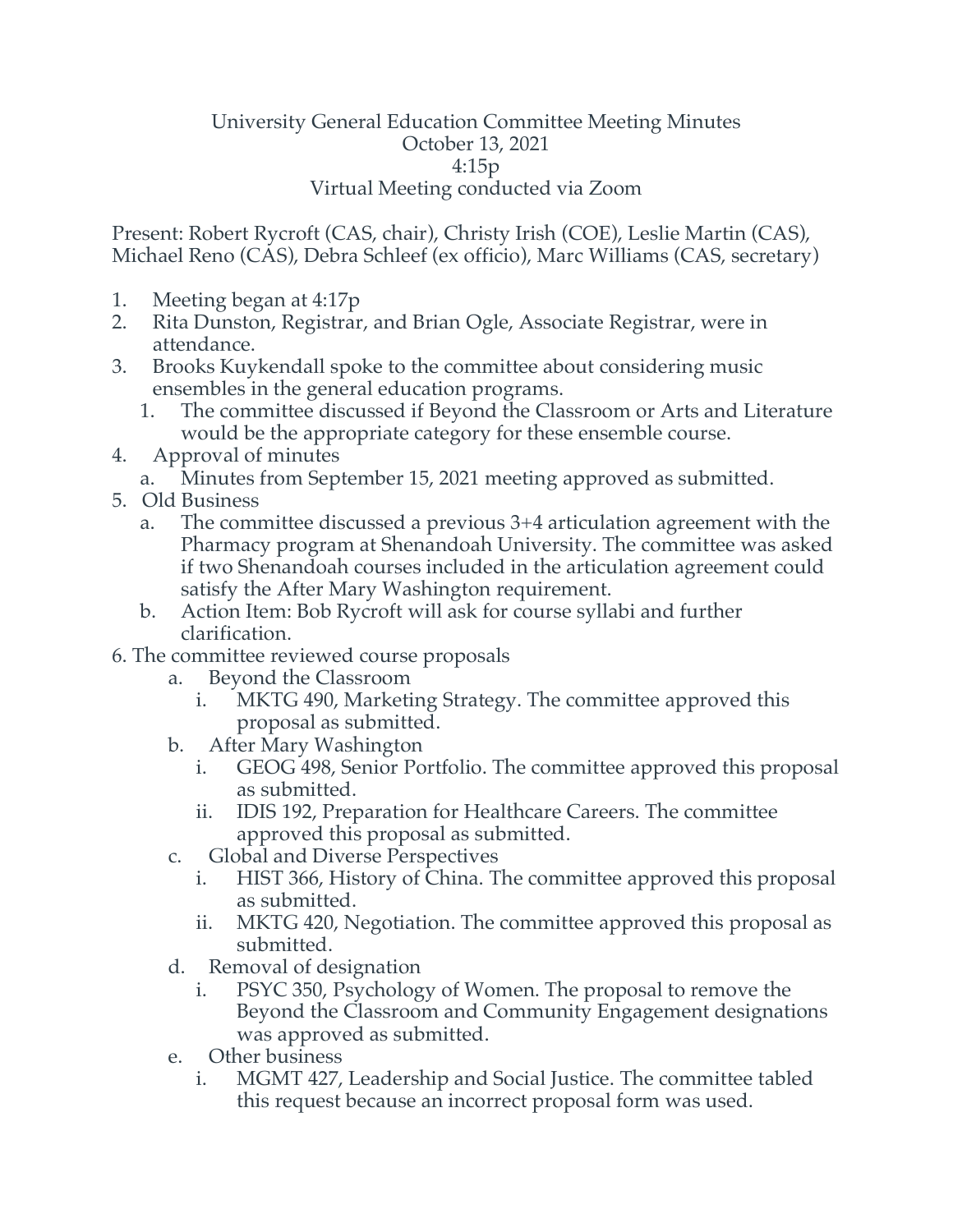## University General Education Committee Meeting Minutes October 13, 2021 4:15p Virtual Meeting conducted via Zoom

Present: Robert Rycroft (CAS, chair), Christy Irish (COE), Leslie Martin (CAS), Michael Reno (CAS), Debra Schleef (ex officio), Marc Williams (CAS, secretary)

- 1. Meeting began at 4:17p
- 2. Rita Dunston, Registrar, and Brian Ogle, Associate Registrar, were in attendance.
- 3. Brooks Kuykendall spoke to the committee about considering music ensembles in the general education programs.
	- 1. The committee discussed if Beyond the Classroom or Arts and Literature would be the appropriate category for these ensemble course.
- 4. Approval of minutes
	- a. Minutes from September 15, 2021 meeting approved as submitted.
- 5. Old Business
	- a. The committee discussed a previous 3+4 articulation agreement with the Pharmacy program at Shenandoah University. The committee was asked if two Shenandoah courses included in the articulation agreement could satisfy the After Mary Washington requirement.
	- b. Action Item: Bob Rycroft will ask for course syllabi and further clarification.
- 6. The committee reviewed course proposals
	- a. Beyond the Classroom
		- i. MKTG 490, Marketing Strategy. The committee approved this proposal as submitted.
	- b. After Mary Washington
		- i. GEOG 498, Senior Portfolio. The committee approved this proposal as submitted.
		- ii. IDIS 192, Preparation for Healthcare Careers. The committee approved this proposal as submitted.
	- c. Global and Diverse Perspectives
		- i. HIST 366, History of China. The committee approved this proposal as submitted.
		- ii. MKTG 420, Negotiation. The committee approved this proposal as submitted.
	- d. Removal of designation
		- i. PSYC 350, Psychology of Women. The proposal to remove the Beyond the Classroom and Community Engagement designations was approved as submitted.
	- e. Other business
		- i. MGMT 427, Leadership and Social Justice. The committee tabled this request because an incorrect proposal form was used.